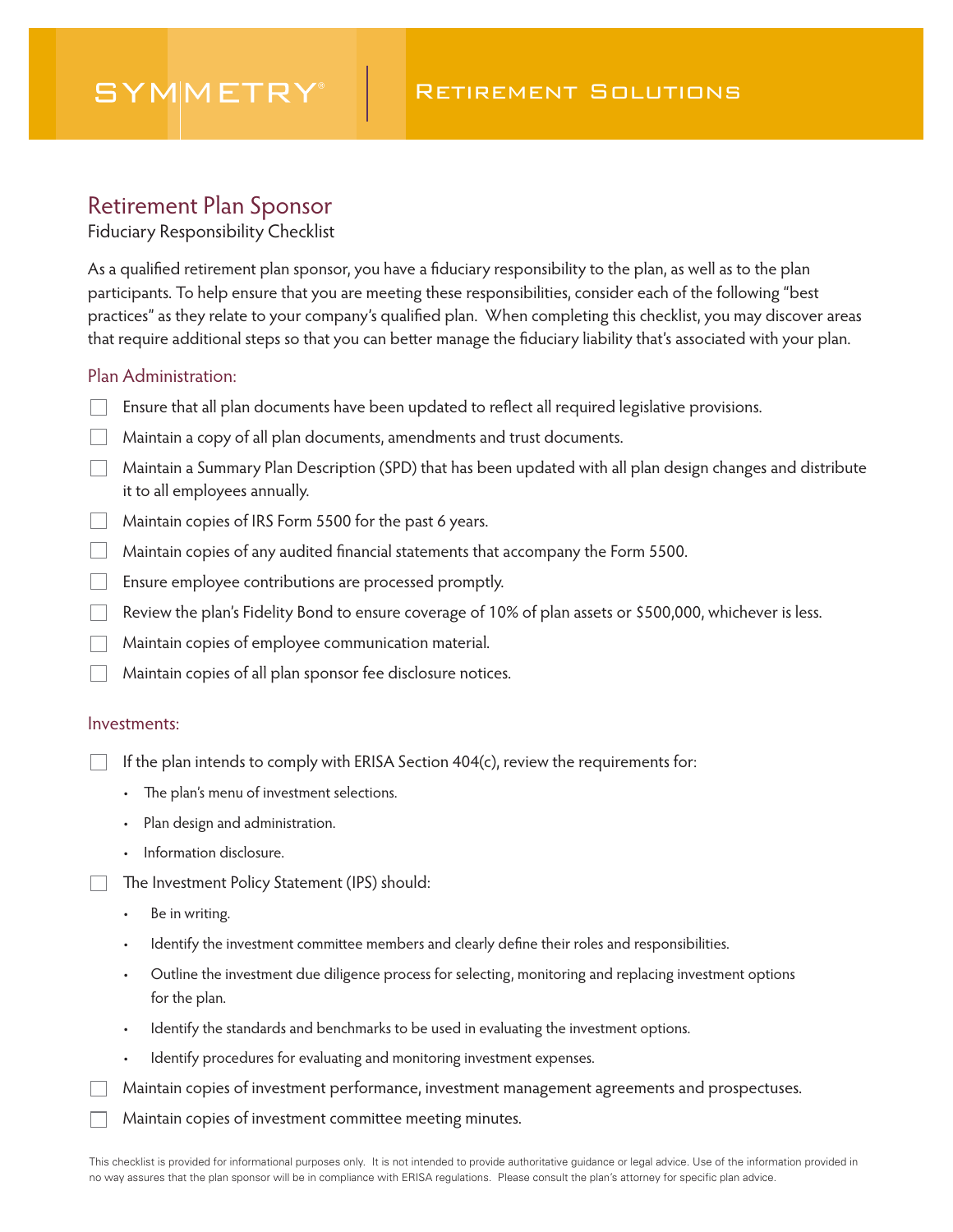# **SYMMETRY**

## Retirement Plan Sponsor

Fiduciary Responsibility Checklist

As a qualified retirement plan sponsor, you have a fiduciary responsibility to the plan, as well as to the plan participants. To help ensure that you are meeting these responsibilities, consider each of the following "best practices" as they relate to your company's qualified plan. When completing this checklist, you may discover areas that require additional steps so that you can better manage the fiduciary liability that's associated with your plan.

### Plan Administration:

- Ensure that all plan documents have been updated to reflect all required legislative provisions.
- Maintain a copy of all plan documents, amendments and trust documents.
- Maintain a Summary Plan Description (SPD) that has been updated with all plan design changes and distribute it to all employees annually.
- $\Box$  Maintain copies of IRS Form 5500 for the past 6 years.
- $\Box$  Maintain copies of any audited financial statements that accompany the Form 5500.
- Ensure employee contributions are processed promptly.
- $\Box$  Review the plan's Fidelity Bond to ensure coverage of 10% of plan assets or \$500,000, whichever is less.
- **Maintain copies of employee communication material.**
- Maintain copies of all plan sponsor fee disclosure notices.

#### Investments:

If the plan intends to comply with ERISA Section 404(c), review the requirements for:

- The plan's menu of investment selections.
- Plan design and administration.
- Information disclosure.
- The Investment Policy Statement (IPS) should:  $\Box$ 
	- Be in writing.
	- Identify the investment committee members and clearly define their roles and responsibilities.
	- Outline the investment due diligence process for selecting, monitoring and replacing investment options for the plan.
	- Identify the standards and benchmarks to be used in evaluating the investment options.
	- Identify procedures for evaluating and monitoring investment expenses.
	- Maintain copies of investment performance, investment management agreements and prospectuses.
	- Maintain copies of investment committee meeting minutes.